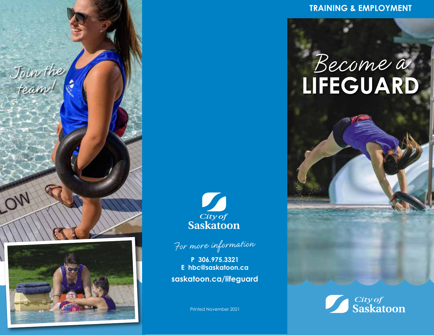



**TRAINING & EMPLOYMENT**

# **LIFEGUARD**





**P 306.975.3321 E hbc@saskatoon.ca saskatoon.ca/lifeguard**

Printed November 2021